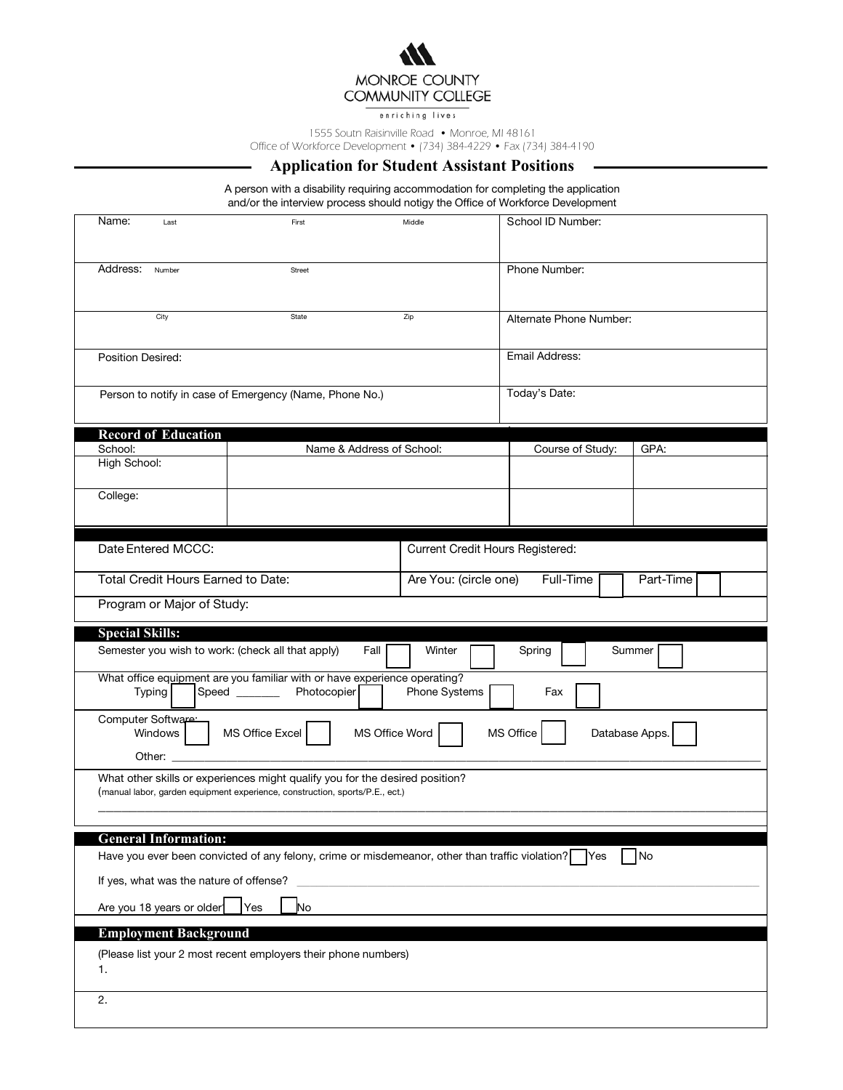## MONROE COUNTY **COMMUNITY COLLEGE**

enriching lives

1555 Soutn Raisinville Road • Monroe, MI 48161

Office of Workforce Development • (734) 384-4229 • Fax (734) 384-4190

## **Application for Student Assistant Positions**

A person with a disability requiring accommodation for completing the application and/or the interview process should notigy the Office of Workforce Development

| Name:<br>Last                                                                                                                               | First                                                                                                                                                        | Middle | School ID Number:           |                |  |  |  |
|---------------------------------------------------------------------------------------------------------------------------------------------|--------------------------------------------------------------------------------------------------------------------------------------------------------------|--------|-----------------------------|----------------|--|--|--|
| Address:<br>Number                                                                                                                          | Street                                                                                                                                                       |        | Phone Number:               |                |  |  |  |
| City                                                                                                                                        | State                                                                                                                                                        | Zip    | Alternate Phone Number:     |                |  |  |  |
| Position Desired:                                                                                                                           |                                                                                                                                                              |        |                             | Email Address: |  |  |  |
|                                                                                                                                             | Person to notify in case of Emergency (Name, Phone No.)                                                                                                      |        | Today's Date:               |                |  |  |  |
| <b>Record of Education</b>                                                                                                                  |                                                                                                                                                              |        |                             |                |  |  |  |
| School:                                                                                                                                     | Name & Address of School:                                                                                                                                    |        | GPA:<br>Course of Study:    |                |  |  |  |
| High School:                                                                                                                                |                                                                                                                                                              |        |                             |                |  |  |  |
| College:                                                                                                                                    |                                                                                                                                                              |        |                             |                |  |  |  |
|                                                                                                                                             |                                                                                                                                                              |        |                             |                |  |  |  |
| Date Entered MCCC:<br>Current Credit Hours Registered:                                                                                      |                                                                                                                                                              |        |                             |                |  |  |  |
| Total Credit Hours Earned to Date:<br>Full-Time<br>Are You: (circle one)<br>Part-Time                                                       |                                                                                                                                                              |        |                             |                |  |  |  |
| Program or Major of Study:                                                                                                                  |                                                                                                                                                              |        |                             |                |  |  |  |
| <b>Special Skills:</b>                                                                                                                      |                                                                                                                                                              |        |                             |                |  |  |  |
| Semester you wish to work: (check all that apply)<br>Fall<br>Winter<br>Spring<br>Summer                                                     |                                                                                                                                                              |        |                             |                |  |  |  |
| What office equipment are you familiar with or have experience operating?<br>Speed _______<br>Photocopier<br>Phone Systems<br>Typing<br>Fax |                                                                                                                                                              |        |                             |                |  |  |  |
|                                                                                                                                             |                                                                                                                                                              |        |                             |                |  |  |  |
| Computer Software:<br>Windows                                                                                                               | MS Office Excel<br>MS Office Word                                                                                                                            |        | MS Office<br>Database Apps. |                |  |  |  |
|                                                                                                                                             | What other skills or experiences might qualify you for the desired position?<br>(manual labor, garden equipment experience, construction, sports/P.E., ect.) |        |                             |                |  |  |  |
|                                                                                                                                             |                                                                                                                                                              |        |                             |                |  |  |  |
| <b>General Information:</b>                                                                                                                 |                                                                                                                                                              |        |                             |                |  |  |  |
|                                                                                                                                             | Have you ever been convicted of any felony, crime or misdemeanor, other than traffic violation? Yes                                                          |        |                             | No             |  |  |  |
| If yes, what was the nature of offense?                                                                                                     | Yes<br>No                                                                                                                                                    |        |                             |                |  |  |  |
| Are you 18 years or older                                                                                                                   |                                                                                                                                                              |        |                             |                |  |  |  |
| <b>Employment Background</b><br>1.                                                                                                          | (Please list your 2 most recent employers their phone numbers)                                                                                               |        |                             |                |  |  |  |